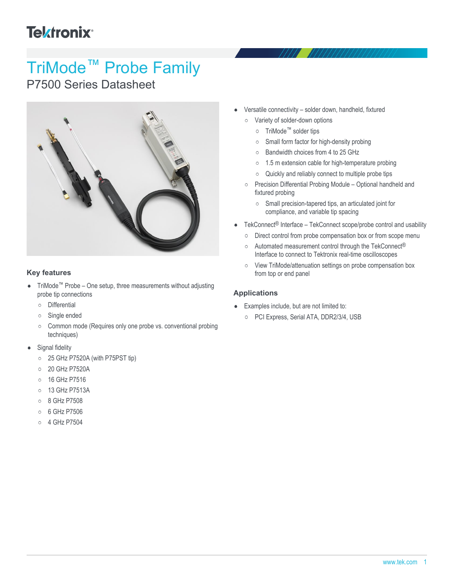# **Tektronix**<sup>®</sup>

# TriMode™ Probe Family

## P7500 Series Datasheet



#### **Key features**

- TriMode™ Probe One setup, three measurements without adjusting  $\bullet$ probe tip connections
	- Differential
	- $\circ$ Single ended
	- Common mode (Requires only one probe vs. conventional probing techniques)
- Signal fidelity  $\bullet$ 
	- 25 GHz P7520A (with P75PST tip)
	- 20 GHz P7520A
	- 0 16 GHz P7516
	- 13 GHz P7513A  $\circ$
	- 8 GHz P7508  $\circ$
	- $6$  GHz P7506
	- 0 4 GHz P7504
- Versatile connectivity solder down, handheld, fixtured
	- Variety of solder-down options
		- TriMode™ solder tips
		- Small form factor for high-density probing  $\circ$
		- Bandwidth choices from 4 to 25 GHz  $\circ$
		- o 1.5 m extension cable for high-temperature probing
		- Quickly and reliably connect to multiple probe tips
	- Precision Differential Probing Module Optional handheld and fixtured probing
		- $\circ$  Small precision-tapered tips, an articulated joint for compliance, and variable tip spacing
- TekConnect® Interface TekConnect scope/probe control and usability
	- o Direct control from probe compensation box or from scope menu
	- Automated measurement control through the TekConnect<sup>®</sup> Interface to connect to Tektronix real-time oscilloscopes
	- o View TriMode/attenuation settings on probe compensation box from top or end panel

#### **Applications**

- Examples include, but are not limited to:
	- PCI Express, Serial ATA, DDR2/3/4, USB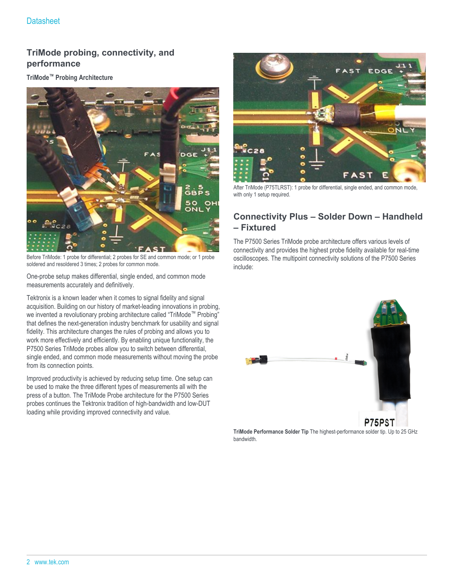### **TriMode probing, connectivity, and performance**

**TriMode™ Probing Architecture**



Before TriMode: 1 probe for differential; 2 probes for SE and common mode; or 1 probe soldered and resoldered 3 times; 2 probes for common mode.

One-probe setup makes differential, single ended, and common mode measurements accurately and definitively.

Tektronix is a known leader when it comes to signal fidelity and signal acquisition. Building on our history of market-leading innovations in probing, we invented a revolutionary probing architecture called "TriMode™ Probing" that defines the next-generation industry benchmark for usability and signal fidelity. This architecture changes the rules of probing and allows you to work more effectively and efficiently. By enabling unique functionality, the P7500 Series TriMode probes allow you to switch between differential, single ended, and common mode measurements without moving the probe from its connection points.

Improved productivity is achieved by reducing setup time. One setup can be used to make the three different types of measurements all with the press of a button. The TriMode Probe architecture for the P7500 Series probes continues the Tektronix tradition of high-bandwidth and low-DUT loading while providing improved connectivity and value.



After TriMode (P75TLRST): 1 probe for differential, single ended, and common mode, with only 1 setup required.

### **Connectivity Plus – Solder Down – Handheld – Fixtured**

The P7500 Series TriMode probe architecture offers various levels of connectivity and provides the highest probe fidelity available for real-time oscilloscopes. The multipoint connectivity solutions of the P7500 Series include:



**TriMode Performance Solder Tip** The highest-performance solder tip. Up to 25 GHz bandwidth.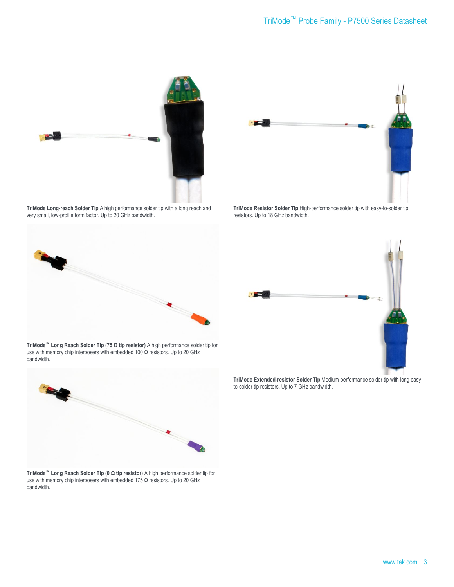

**TriMode Long-reach Solder Tip** A high performance solder tip with a long reach and very small, low-profile form factor. Up to 20 GHz bandwidth.



**TriMode Resistor Solder Tip** High-performance solder tip with easy-to-solder tip resistors. Up to 18 GHz bandwidth.



**TriMode™ Long Reach Solder Tip (75 Ω tip resistor)** A high performance solder tip for use with memory chip interposers with embedded 100 Ω resistors. Up to 20 GHz bandwidth.



**TriMode™ Long Reach Solder Tip (0 Ω tip resistor)** A high performance solder tip for use with memory chip interposers with embedded 175  $Ω$  resistors. Up to 20 GHz bandwidth.



**TriMode Extended-resistor Solder Tip** Medium-performance solder tip with long easyto-solder tip resistors. Up to 7 GHz bandwidth.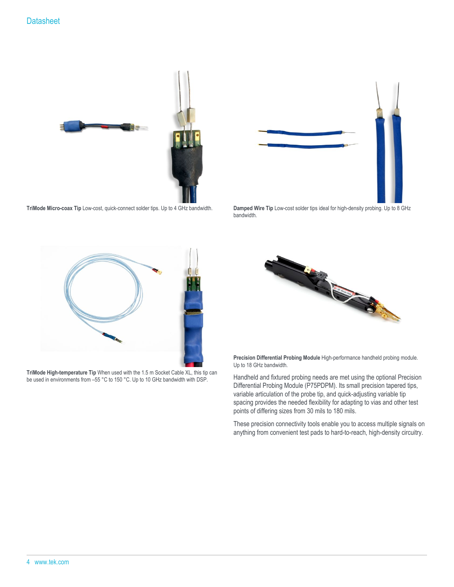

**TriMode Micro-coax Tip** Low-cost, quick-connect solder tips. Up to 4 GHz bandwidth.



**TriMode High-temperature Tip** When used with the 1.5 m Socket Cable XL, this tip can be used in environments from –55 °C to 150 °C. Up to 10 GHz bandwidth with DSP.



**Damped Wire Tip** Low-cost solder tips ideal for high-density probing. Up to 8 GHz bandwidth.



**Precision Differential Probing Module** High-performance handheld probing module. Up to 18 GHz bandwidth.

Handheld and fixtured probing needs are met using the optional Precision Differential Probing Module (P75PDPM). Its small precision tapered tips, variable articulation of the probe tip, and quick-adjusting variable tip spacing provides the needed flexibility for adapting to vias and other test points of differing sizes from 30 mils to 180 mils.

These precision connectivity tools enable you to access multiple signals on anything from convenient test pads to hard-to-reach, high-density circuitry.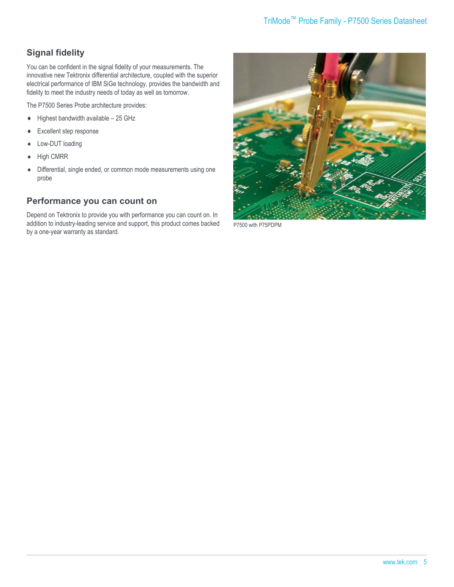### **Signal fidelity**

You can be confident in the signal fidelity of your measurements. The innovative new Tektronix differential architecture, coupled with the superior electrical performance of IBM SiGe technology, provides the bandwidth and fidelity to meet the industry needs of today as well as tomorrow.

The P7500 Series Probe architecture provides:

- Highest bandwidth available 25 GHz  $\bullet$
- Excellent step response
- Low-DUT loading  $\bullet$
- High CMRR
- $\bullet$ Differential, single ended, or common mode measurements using one probe

### **Performance you can count on**

Depend on Tektronix to provide you with performance you can count on. In addition to industry-leading service and support, this product comes backed by a one-year warranty as standard.



P7500 with P75PDPM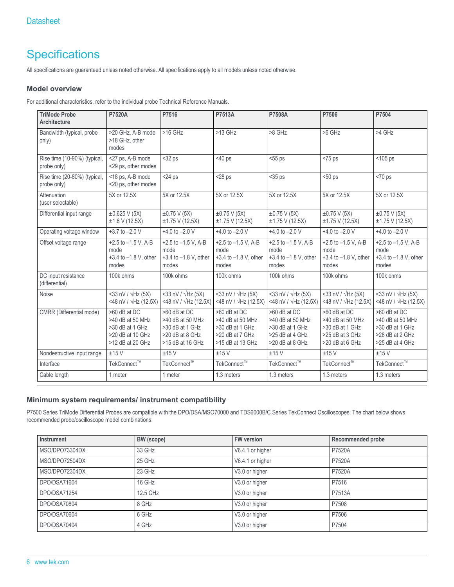## **Specifications**

All specifications are guaranteed unless noted otherwise. All specifications apply to all models unless noted otherwise.

#### **Model overview**

For additional characteristics, refer to the individual probe Technical Reference Manuals.

| <b>TriMode Probe</b><br><b>Architecture</b> | <b>P7520A</b>                                                                               | P7516                                                                                      | P7513A                                                                                     | P7508A                                                                                    | P7506                                                                                     | P7504                                                                                     |
|---------------------------------------------|---------------------------------------------------------------------------------------------|--------------------------------------------------------------------------------------------|--------------------------------------------------------------------------------------------|-------------------------------------------------------------------------------------------|-------------------------------------------------------------------------------------------|-------------------------------------------------------------------------------------------|
| Bandwidth (typical, probe<br>only)          | >20 GHz, A-B mode<br>>18 GHz, other<br>modes                                                | $>16$ GHz                                                                                  | $>13$ GHz                                                                                  | >8 GHz                                                                                    | $>6$ GHz                                                                                  | >4 GHz                                                                                    |
| Rise time (10-90%) (typical,<br>probe only) | <27 ps, A-B mode<br><29 ps, other modes                                                     | $<$ 32 ps                                                                                  | $<$ 40 ps                                                                                  | $55$ ps                                                                                   | $< 75$ ps                                                                                 | $<$ 105 ps                                                                                |
| Rise time (20-80%) (typical,<br>probe only) | <18 ps, A-B mode<br><20 ps, other modes                                                     | $<$ 24 ps                                                                                  | $<$ 28 ps                                                                                  | $<$ 35 ps                                                                                 | $50$ ps                                                                                   | $<70$ ps                                                                                  |
| Attenuation<br>(user selectable)            | 5X or 12.5X                                                                                 | 5X or 12.5X                                                                                | 5X or 12.5X                                                                                | 5X or 12.5X                                                                               | 5X or 12.5X                                                                               | 5X or 12.5X                                                                               |
| Differential input range                    | ±0.625 V(5X)<br>$±1.6$ V (12.5X)                                                            | $±0.75$ V (5X)<br>$±1.75$ V (12.5X)                                                        | $±0.75$ V (5X)<br>$±1.75$ V (12.5X)                                                        | $±0.75$ V (5X)<br>$±1.75$ V (12.5X)                                                       | $±0.75$ V (5X)<br>$±1.75$ V (12.5X)                                                       | $\pm 0.75$ V (5X)<br>$±1.75$ V (12.5X)                                                    |
| Operating voltage window                    | $+3.7$ to $-2.0$ V                                                                          | $+4.0$ to $-2.0$ V                                                                         | $+4.0$ to $-2.0$ V                                                                         | $+4.0$ to $-2.0$ V                                                                        | $+4.0$ to $-2.0$ V                                                                        | $+4.0$ to $-2.0$ V                                                                        |
| Offset voltage range                        | $+2.5$ to $-1.5$ V, A-B<br>mode<br>$+3.4$ to $-1.8$ V, other<br>modes                       | $+2.5$ to $-1.5$ V, A-B<br>mode<br>$+3.4$ to $-1.8$ V, other<br>modes                      | $+2.5$ to $-1.5$ V, A-B<br>mode<br>$+3.4$ to $-1.8$ V, other<br>modes                      | $+2.5$ to $-1.5$ V, A-B<br>mode<br>$+3.4$ to $-1.8$ V, other<br>modes                     | $+2.5$ to $-1.5$ V, A-B<br>mode<br>$+3.4$ to $-1.8$ V, other<br>modes                     | $+2.5$ to $-1.5$ V, A-B<br>mode<br>$+3.4$ to $-1.8$ V, other<br>modes                     |
| DC input resistance<br>(differential)       | 100k ohms                                                                                   | 100k ohms                                                                                  | 100k ohms                                                                                  | 100k ohms                                                                                 | 100k ohms                                                                                 | 100k ohms                                                                                 |
| Noise                                       | $<$ 33 nV / $\sqrt{Hz}$ (5X)<br><48 nV / $\sqrt{Hz}$ (12.5X)                                | $<$ 33 nV / $\sqrt{Hz}$ (5X)<br><48 nV / $\sqrt{Hz}$ (12.5X)                               | $<$ 33 nV / $\sqrt{Hz}$ (5X)<br><48 nV / $\sqrt{Hz}$ (12.5X)                               | $<$ 33 nV / $\sqrt{Hz}$ (5X)<br><48 nV / $\sqrt{Hz}$ (12.5X)                              | $<$ 33 nV / $\sqrt{Hz}$ (5X)<br><48 nV / $\sqrt{Hz}$ (12.5X)                              | <33 nV / $\sqrt{Hz}$ (5X)<br><48 nV / $\sqrt{Hz}$ (12.5X)                                 |
| CMRR (Differential mode)                    | >60 dB at DC<br>>40 dB at 50 MHz<br>>30 dB at 1 GHz<br>>20 dB at 10 GHz<br>>12 dB at 20 GHz | >60 dB at DC<br>>40 dB at 50 MHz<br>>30 dB at 1 GHz<br>>20 dB at 8 GHz<br>>15 dB at 16 GHz | >60 dB at DC<br>>40 dB at 50 MHz<br>>30 dB at 1 GHz<br>>20 dB at 7 GHz<br>>15 dB at 13 GHz | >60 dB at DC<br>>40 dB at 50 MHz<br>>30 dB at 1 GHz<br>>25 dB at 4 GHz<br>>20 dB at 8 GHz | >60 dB at DC<br>>40 dB at 50 MHz<br>>30 dB at 1 GHz<br>>25 dB at 3 GHz<br>>20 dB at 6 GHz | >60 dB at DC<br>>40 dB at 50 MHz<br>>30 dB at 1 GHz<br>>28 dB at 2 GHz<br>>25 dB at 4 GHz |
| Nondestructive input range                  | ±15V                                                                                        | ±15V                                                                                       | ±15V                                                                                       | ±15V                                                                                      | ±15V                                                                                      | ±15V                                                                                      |
| Interface                                   | TekConnect™                                                                                 | TekConnect™                                                                                | TekConnect™                                                                                | TekConnect™                                                                               | TekConnect™                                                                               | TekConnect™                                                                               |
| Cable length                                | 1 meter                                                                                     | 1 meter                                                                                    | 1.3 meters                                                                                 | 1.3 meters                                                                                | 1.3 meters                                                                                | 1.3 meters                                                                                |

#### **Minimum system requirements/ instrument compatibility**

P7500 Series TriMode Differential Probes are compatible with the DPO/DSA/MSO70000 and TDS6000B/C Series TekConnect Oscilloscopes. The chart below shows recommended probe/oscilloscope model combinations.

| <b>Instrument</b> | BW (scope) | <b>FW</b> version | <b>Recommended probe</b> |
|-------------------|------------|-------------------|--------------------------|
| MSO/DPO73304DX    | 33 GHz     | V6.4.1 or higher  | P7520A                   |
| MSO/DPO72504DX    | 25 GHz     | V6.4.1 or higher  | P7520A                   |
| MSO/DPO72304DX    | 23 GHz     | V3.0 or higher    | P7520A                   |
| DPO/DSA71604      | 16 GHz     | V3.0 or higher    | P7516                    |
| DPO/DSA71254      | 12.5 GHz   | V3.0 or higher    | P7513A                   |
| DPO/DSA70804      | 8 GHz      | V3.0 or higher    | P7508                    |
| DPO/DSA70604      | 6 GHz      | V3.0 or higher    | P7506                    |
| DPO/DSA70404      | 4 GHz      | V3.0 or higher    | P7504                    |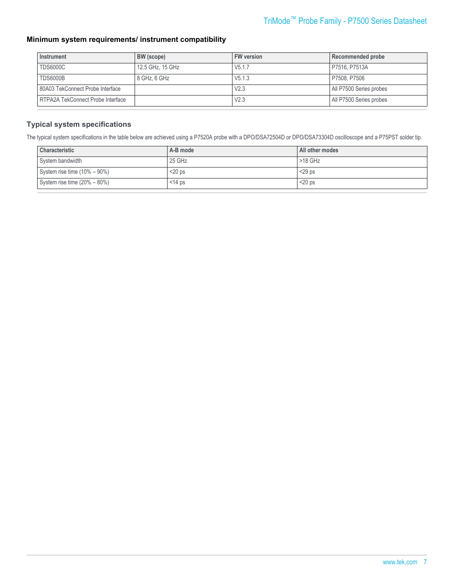### TriMode™ Probe Family - P7500 Series Datasheet

#### **Minimum system requirements/ instrument compatibility**

| <b>Instrument</b>                 | BW (scope)       | <b>FW</b> version | Recommended probe       |
|-----------------------------------|------------------|-------------------|-------------------------|
| <b>TDS6000C</b>                   | 12.5 GHz. 15 GHz | V5.1.7            | P7516, P7513A           |
| <b>TDS6000B</b>                   | 8 GHz, 6 GHz     | V5.1.3            | P7508, P7506            |
| 80A03 TekConnect Probe Interface  |                  | V2.3              | All P7500 Series probes |
| RTPA2A TekConnect Probe Interface |                  | V <sub>2.3</sub>  | All P7500 Series probes |

#### **Typical system specifications**

The typical system specifications in the table below are achieved using a P7520A probe with a DPO/DSA72504D or DPO/DSA73304D oscilloscope and a P75PST solder tip.

| <b>Characteristic</b>        | A-B mode  | All other modes |
|------------------------------|-----------|-----------------|
| System bandwidth             | 25 GHz    | $>18$ GHz       |
| System rise time (10% - 90%) | $<$ 20 ps | $<$ 29 ps       |
| System rise time (20% – 80%) | $<$ 14 ps | $<$ 20 ps       |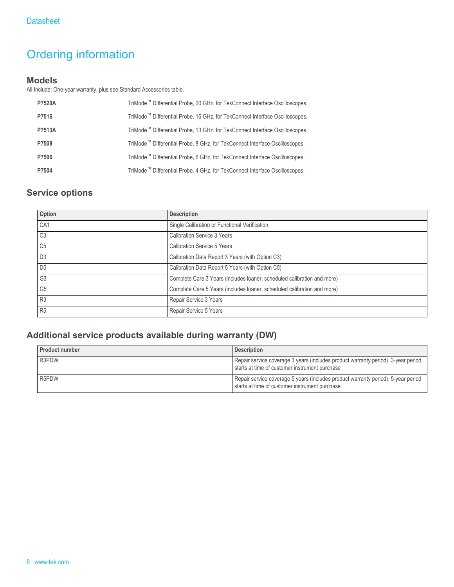# Ordering information

#### **Models**

All Include: One-year warranty, plus see Standard Accessories table.

| <b>P7520A</b> | TriMode™ Differential Probe, 20 GHz, for TekConnect Interface Oscilloscopes. |
|---------------|------------------------------------------------------------------------------|
| P7516         | TriMode™ Differential Probe, 16 GHz, for TekConnect Interface Oscilloscopes. |
| P7513A        | TriMode™ Differential Probe, 13 GHz, for TekConnect Interface Oscilloscopes. |
| P7508         | TriMode™ Differential Probe, 8 GHz, for TekConnect Interface Oscilloscopes.  |
| P7506         | TriMode™ Differential Probe, 6 GHz, for TekConnect Interface Oscilloscopes.  |
| P7504         | TriMode™ Differential Probe, 4 GHz, for TekConnect Interface Oscilloscopes.  |

### **Service options**

| Option          | <b>Description</b>                                                      |
|-----------------|-------------------------------------------------------------------------|
| CA <sub>1</sub> | Single Calibration or Functional Verification                           |
| C <sub>3</sub>  | Calibration Service 3 Years                                             |
| C <sub>5</sub>  | Calibration Service 5 Years                                             |
| D <sub>3</sub>  | Calibration Data Report 3 Years (with Option C3)                        |
| D <sub>5</sub>  | Calibration Data Report 5 Years (with Option C5)                        |
| G <sub>3</sub>  | Complete Care 3 Years (includes loaner, scheduled calibration and more) |
| G <sub>5</sub>  | Complete Care 5 Years (includes loaner, scheduled calibration and more) |
| R <sub>3</sub>  | Repair Service 3 Years                                                  |
| R <sub>5</sub>  | Repair Service 5 Years                                                  |

### **Additional service products available during warranty (DW)**

| <b>Product number</b> | <b>Description</b>                                                                                                                  |
|-----------------------|-------------------------------------------------------------------------------------------------------------------------------------|
| R3PDW                 | Repair service coverage 3 years (includes product warranty period). 3-year period<br>starts at time of customer instrument purchase |
| R5PDW                 | Repair service coverage 5 years (includes product warranty period). 5-year period<br>starts at time of customer instrument purchase |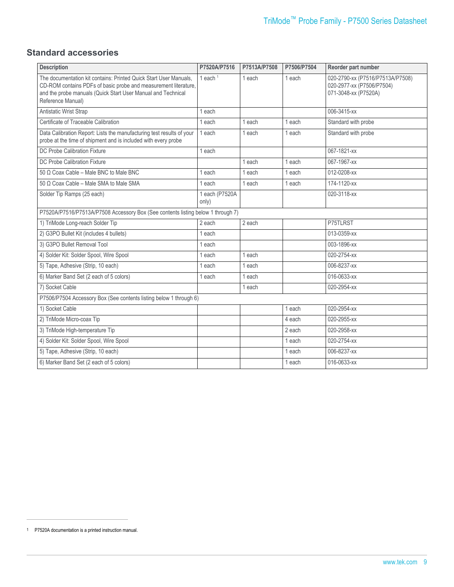### **Standard accessories**

| <b>Description</b>                                                                                                                                                                                                        | P7520A/P7516            | P7513A/P7508 | P7506/P7504 | Reorder part number                                                                   |
|---------------------------------------------------------------------------------------------------------------------------------------------------------------------------------------------------------------------------|-------------------------|--------------|-------------|---------------------------------------------------------------------------------------|
| The documentation kit contains: Printed Quick Start User Manuals,<br>CD-ROM contains PDFs of basic probe and measurement literature,<br>and the probe manuals (Quick Start User Manual and Technical<br>Reference Manual) | 1 each $1$              | 1 each       | 1 each      | 020-2790-xx (P7516/P7513A/P7508)<br>020-2977-xx (P7506/P7504)<br>071-3048-xx (P7520A) |
| Antistatic Wrist Strap                                                                                                                                                                                                    | 1 each                  |              |             | 006-3415-xx                                                                           |
| Certificate of Traceable Calibration                                                                                                                                                                                      | 1 each                  | 1 each       | 1 each      | Standard with probe                                                                   |
| Data Calibration Report: Lists the manufacturing test results of your<br>probe at the time of shipment and is included with every probe                                                                                   | 1 each                  | 1 each       | 1 each      | Standard with probe                                                                   |
| DC Probe Calibration Fixture                                                                                                                                                                                              | 1 each                  |              |             | 067-1821-xx                                                                           |
| DC Probe Calibration Fixture                                                                                                                                                                                              |                         | 1 each       | 1 each      | 067-1967-xx                                                                           |
| 50 $\Omega$ Coax Cable – Male BNC to Male BNC                                                                                                                                                                             | 1 each                  | 1 each       | 1 each      | 012-0208-xx                                                                           |
| 50 Ω Coax Cable - Male SMA to Male SMA                                                                                                                                                                                    | 1 each                  | 1 each       | 1 each      | 174-1120-xx                                                                           |
| Solder Tip Ramps (25 each)                                                                                                                                                                                                | 1 each (P7520A<br>only) |              |             | 020-3118-xx                                                                           |
| P7520A/P7516/P7513A/P7508 Accessory Box (See contents listing below 1 through 7)                                                                                                                                          |                         |              |             |                                                                                       |
| 1) TriMode Long-reach Solder Tip                                                                                                                                                                                          | 2 each                  | 2 each       |             | P75TLRST                                                                              |
| 2) G3PO Bullet Kit (includes 4 bullets)                                                                                                                                                                                   | 1 each                  |              |             | 013-0359-xx                                                                           |
| 3) G3PO Bullet Removal Tool                                                                                                                                                                                               | 1 each                  |              |             | 003-1896-xx                                                                           |
| 4) Solder Kit: Solder Spool, Wire Spool                                                                                                                                                                                   | 1 each                  | 1 each       |             | 020-2754-xx                                                                           |
| 5) Tape, Adhesive (Strip, 10 each)                                                                                                                                                                                        | 1 each                  | 1 each       |             | 006-8237-xx                                                                           |
| 6) Marker Band Set (2 each of 5 colors)                                                                                                                                                                                   | 1 each                  | 1 each       |             | 016-0633-xx                                                                           |
| 7) Socket Cable                                                                                                                                                                                                           |                         | 1 each       |             | 020-2954-xx                                                                           |
| P7506/P7504 Accessory Box (See contents listing below 1 through 6)                                                                                                                                                        |                         |              |             |                                                                                       |
| 1) Socket Cable                                                                                                                                                                                                           |                         |              | 1 each      | 020-2954-xx                                                                           |
| 2) TriMode Micro-coax Tip                                                                                                                                                                                                 |                         |              | 4 each      | 020-2955-xx                                                                           |
| 3) TriMode High-temperature Tip                                                                                                                                                                                           |                         |              | 2 each      | 020-2958-xx                                                                           |
| 4) Solder Kit: Solder Spool, Wire Spool                                                                                                                                                                                   |                         |              | 1 each      | 020-2754-xx                                                                           |
| 5) Tape, Adhesive (Strip, 10 each)                                                                                                                                                                                        |                         |              | 1 each      | 006-8237-xx                                                                           |
| 6) Marker Band Set (2 each of 5 colors)                                                                                                                                                                                   |                         |              | 1 each      | 016-0633-xx                                                                           |

<sup>1</sup> P7520A documentation is a printed instruction manual.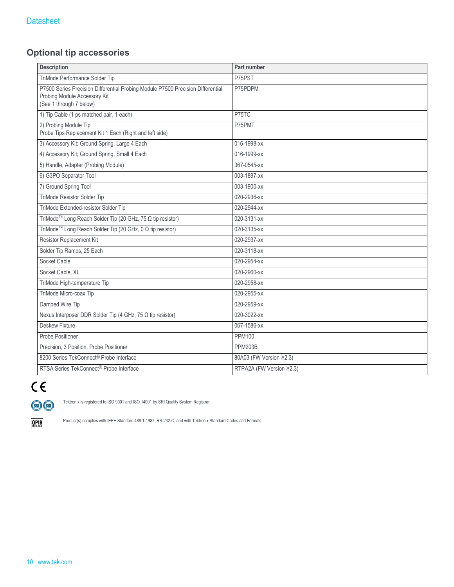### **Optional tip accessories**

| <b>Description</b>                                                                                                                         | Part number              |  |  |
|--------------------------------------------------------------------------------------------------------------------------------------------|--------------------------|--|--|
| TriMode Performance Solder Tip                                                                                                             | P75PST                   |  |  |
| P7500 Series Precision Differential Probing Module P7500 Precision Differential<br>Probing Module Accessory Kit<br>(See 1 through 7 below) | P75PDPM                  |  |  |
| 1) Tip Cable (1 ps matched pair, 1 each)                                                                                                   | P75TC                    |  |  |
| 2) Probing Module Tip<br>Probe Tips Replacement Kit 1 Each (Right and left side)                                                           | P75PMT                   |  |  |
| 3) Accessory Kit; Ground Spring, Large 4 Each                                                                                              | 016-1998-xx              |  |  |
| 4) Accessory Kit; Ground Spring, Small 4 Each                                                                                              | 016-1999-xx              |  |  |
| 5) Handle, Adapter (Probing Module)                                                                                                        | 367-0545-xx              |  |  |
| 6) G3PO Separator Tool                                                                                                                     | 003-1897-xx              |  |  |
| 7) Ground Spring Tool                                                                                                                      | 003-1900-xx              |  |  |
| TriMode Resistor Solder Tip                                                                                                                | 020-2936-xx              |  |  |
| TriMode Extended-resistor Solder Tip                                                                                                       | 020-2944-xx              |  |  |
| TriMode <sup>™</sup> Long Reach Solder Tip (20 GHz, 75 $\Omega$ tip resistor)                                                              | 020-3131-xx              |  |  |
| TriMode <sup>™</sup> Long Reach Solder Tip (20 GHz, 0 Ω tip resistor)                                                                      | 020-3135-xx              |  |  |
| Resistor Replacement Kit                                                                                                                   | 020-2937-xx              |  |  |
| Solder Tip Ramps, 25 Each                                                                                                                  | 020-3118-xx              |  |  |
| Socket Cable                                                                                                                               | 020-2954-xx              |  |  |
| Socket Cable, XL                                                                                                                           | 020-2960-xx              |  |  |
| TriMode High-temperature Tip                                                                                                               | 020-2958-xx              |  |  |
| TriMode Micro-coax Tip                                                                                                                     | 020-2955-xx              |  |  |
| Damped Wire Tip                                                                                                                            | 020-2959-xx              |  |  |
| Nexus Interposer DDR Solder Tip (4 GHz, 75 $\Omega$ tip resistor)                                                                          | 020-3022-xx              |  |  |
| <b>Deskew Fixture</b>                                                                                                                      | 067-1586-xx              |  |  |
| Probe Positioner                                                                                                                           | <b>PPM100</b>            |  |  |
| Precision, 3 Position, Probe Positioner                                                                                                    | <b>PPM203B</b>           |  |  |
| 8200 Series TekConnect <sup>®</sup> Probe Interface                                                                                        | 80A03 (FW Version ≥2.3)  |  |  |
| RTSA Series TekConnect <sup>®</sup> Probe Interface                                                                                        | RTPA2A (FW Version ≥2.3) |  |  |

 $C \in$ (SRI) (SRI)

Tektronix is registered to ISO 9001 and ISO 14001 by SRI Quality System Registrar.



Product(s) complies with IEEE Standard 488.1-1987, RS-232-C, and with Tektronix Standard Codes and Formats.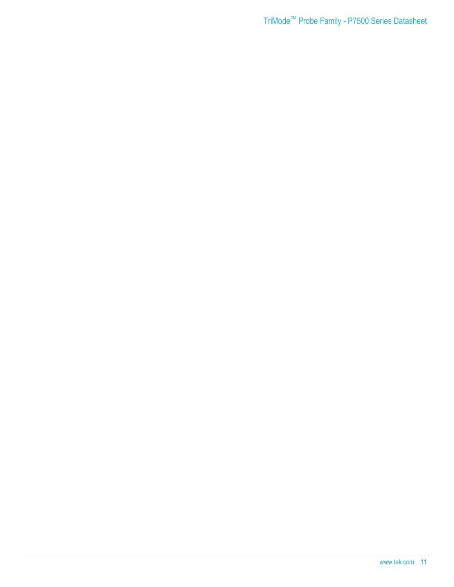TriMode™ Probe Family - P7500 Series Datasheet